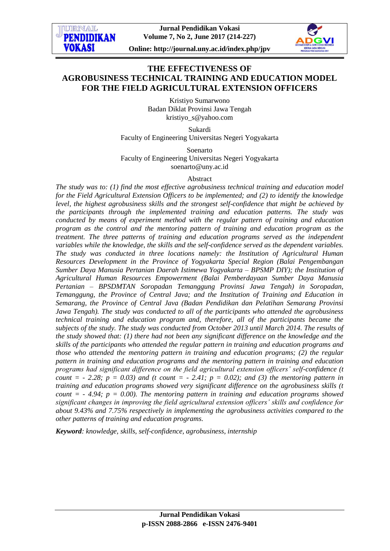**Jurnal Pendidikan Vokasi Volume 7, No 2, June 2017 (214-227)**

**TRNAT. PENDIDIKAN** 

VOK ASI



**Online: http://journal.uny.ac.id/index.php/jpv**

# **THE EFFECTIVENESS OF AGROBUSINESS TECHNICAL TRAINING AND EDUCATION MODEL FOR THE FIELD AGRICULTURAL EXTENSION OFFICERS**

Kristiyo Sumarwono Badan Diklat Provinsi Jawa Tengah kristiyo\_s@yahoo.com

Sukardi

Faculty of Engineering Universitas Negeri Yogyakarta

Soenarto Faculty of Engineering Universitas Negeri Yogyakarta soenarto@uny.ac.id

#### Abstract

*The study was to: (1) find the most effective agrobusiness technical training and education model for the Field Agricultural Extension Officers to be implemented; and (2) to identify the knowledge level, the highest agrobusiness skills and the strongest self-confidence that might be achieved by the participants through the implemented training and education patterns. The study was conducted by means of experiment method with the regular pattern of training and education program as the control and the mentoring pattern of training and education program as the treatment. The three patterns of training and education programs served as the independent variables while the knowledge, the skills and the self-confidence served as the dependent variables. The study was conducted in three locations namely: the Institution of Agricultural Human Resources Development in the Province of Yogyakarta Special Region (Balai Pengembangan Sumber Daya Manusia Pertanian Daerah Istimewa Yogyakarta – BPSMP DIY); the Institution of Agricultural Human Resources Empowerment (Balai Pemberdayaan Sumber Daya Manusia Pertanian – BPSDMTAN Soropadan Temanggung Provinsi Jawa Tengah) in Soropadan, Temanggung, the Province of Central Java; and the Institution of Training and Education in Semarang, the Province of Central Java (Badan Pendidikan dan Pelatihan Semarang Provinsi Jawa Tengah). The study was conducted to all of the participants who attended the agrobusiness technical training and education program and, therefore, all of the participants became the subjects of the study. The study was conducted from October 2013 until March 2014. The results of the study showed that: (1) there had not been any significant difference on the knowledge and the skills of the participants who attended the regular pattern in training and education programs and those who attended the mentoring pattern in training and education programs; (2) the regular pattern in training and education programs and the mentoring pattern in training and education programs had significant difference on the field agricultural extension officers' self-confidence (t count = -* 2.28;  $p = 0.03$  and (t count = - 2.41;  $p = 0.02$ ); and (3) the mentoring pattern in *training and education programs showed very significant difference on the agrobusiness skills (t count = - 4.94; p = 0.00). The mentoring pattern in training and education programs showed significant changes in improving the field agricultural extension officers' skills and confidence for about 9.43% and 7.75% respectively in implementing the agrobusiness activities compared to the other patterns of training and education programs.*

*Keyword: knowledge, skills, self-confidence, agrobusiness, internship*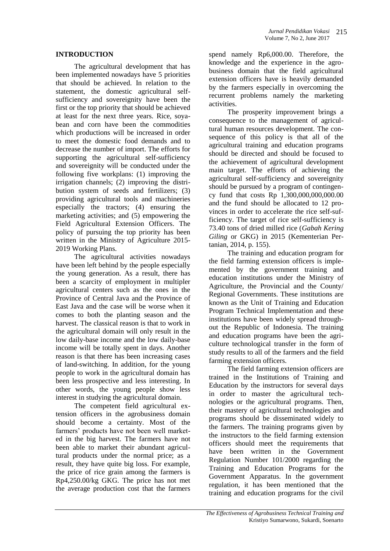### **INTRODUCTION**

The agricultural development that has been implemented nowadays have 5 priorities that should be achieved. In relation to the statement, the domestic agricultural selfsufficiency and sovereignity have been the first or the top priority that should be achieved at least for the next three years. Rice, soyabean and corn have been the commodities which productions will be increased in order to meet the domestic food demands and to decrease the number of import. The efforts for supporting the agricultural self-sufficiency and sovereignity will be conducted under the following five workplans: (1) improving the irrigation channels; (2) improving the distribution system of seeds and fertilizers; (3) providing agricultural tools and machineries especially the tractors; (4) ensuring the marketing activities; and (5) empowering the Field Agricultural Extension Officers. The policy of pursuing the top priority has been written in the Ministry of Agriculture 2015- 2019 Working Plans.

The agricultural activities nowadays have been left behind by the people especially the young generation. As a result, there has been a scarcity of employment in multipler agricultural centers such as the ones in the Province of Central Java and the Province of East Java and the case will be worse when it comes to both the planting season and the harvest. The classical reason is that to work in the agricultural domain will only result in the low daily-base income and the low daily-base income will be totally spent in days. Another reason is that there has been increasing cases of land-switching. In addition, for the young people to work in the agricultural domain has been less prospective and less interesting. In other words, the young people show less interest in studying the agricultural domain.

The competent field agricultural extension officers in the agrobusiness domain should become a certainty. Most of the farmers' products have not been well marketed in the big harvest. The farmers have not been able to market their abundant agricultural products under the normal price; as a result, they have quite big loss. For example, the price of rice grain among the farmers is Rp4,250.00/kg GKG. The price has not met the average production cost that the farmers

spend namely Rp6,000.00. Therefore, the knowledge and the experience in the agrobusiness domain that the field agricultural extension officers have is heavily demanded by the farmers especially in overcoming the recurrent problems namely the marketing activities.

The prosperity improvement brings a consequence to the management of agricultural human resources development. The consequence of this policy is that all of the agricultural training and education programs should be directed and should be focused to the achievement of agricultural development main target. The efforts of achieving the agricultural self-sufficiency and sovereignity should be pursued by a program of contingency fund that costs Rp 1,300,000,000,000.00 and the fund should be allocated to 12 provinces in order to accelerate the rice self-sufficiency. The target of rice self-sufficiency is 73.40 tons of dried milled rice (*Gabah Kering Giling* or GKG) in 2015 (Kementerian Pertanian, 2014, p. 155).

The training and education program for the field farming extension officers is implemented by the government training and education institutions under the Ministry of Agriculture, the Provincial and the County/ Regional Governments. These institutions are known as the Unit of Training and Education Program Technical Implementation and these institutions have been widely spread throughout the Republic of Indonesia. The training and education programs have been the agriculture technological transfer in the form of study results to all of the farmers and the field farming extension officers.

The field farming extension officers are trained in the Institutions of Training and Education by the instructors for several days in order to master the agricultural technologies or the agricultural programs. Then, their mastery of agricultural technologies and programs should be disseminated widely to the farmers. The training programs given by the instructors to the field farming extension officers should meet the requirements that have been written in the Government Regulation Number 101/2000 regarding the Training and Education Programs for the Government Apparatus. In the government regulation, it has been mentioned that the training and education programs for the civil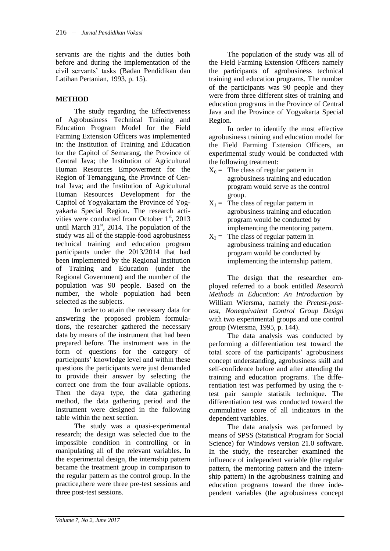servants are the rights and the duties both before and during the implementation of the civil servants' tasks (Badan Pendidikan dan Latihan Pertanian, 1993, p. 15).

# **METHOD**

The study regarding the Effectiveness of Agrobusiness Technical Training and Education Program Model for the Field Farming Extension Officers was implemented in: the Institution of Training and Education for the Capitol of Semarang, the Province of Central Java; the Institution of Agricultural Human Resources Empowerment for the Region of Temanggung, the Province of Central Java; and the Institution of Agricultural Human Resources Development for the Capitol of Yogyakartam the Province of Yogyakarta Special Region. The research activities were conducted from October  $1<sup>st</sup>$ , 2013 until March  $31<sup>st</sup>$ , 2014. The population of the study was all of the stapple-food agrobusiness technical training and education program participants under the 2013/2014 that had been implemented by the Regional Institution of Training and Education (under the Regional Government) and the number of the population was 90 people. Based on the number, the whole population had been selected as the subjects.

In order to attain the necessary data for answering the proposed problem formulations, the researcher gathered the necessary data by means of the instrument that had been prepared before. The instrument was in the form of questions for the category of participants' knowledge level and within these questions the participants were just demanded to provide their answer by selecting the correct one from the four available options. Then the daya type, the data gathering method, the data gathering period and the instrument were designed in the following table within the next section.

The study was a quasi-experimental research; the design was selected due to the impossible condition in controlling or in manipulating all of the relevant variables. In the experimental design, the internship pattern became the treatment group in comparison to the regular pattern as the control group. In the practice,there were three pre-test sessions and three post-test sessions.

The population of the study was all of the Field Farming Extension Officers namely the participants of agrobusiness technical training and education programs. The number of the participants was 90 people and they were from three different sites of training and education programs in the Province of Central Java and the Province of Yogyakarta Special Region.

In order to identify the most effective agrobusiness training and education model for the Field Farming Extension Officers, an experimental study would be conducted with the following treatment:

- $X_0$  = The class of regular pattern in agrobusiness training and education program would serve as the control group.
- $X_1$  = The class of regular pattern in agrobusiness training and education program would be conducted by implementing the mentoring pattern.
- $X_2$  = The class of regular pattern in agrobusiness training and education program would be conducted by implementing the internship pattern.

The design that the researcher employed referred to a book entitled *Research Methods in Education: An Introduction* by William Wiersma, namely the *Pretest-posttest, Nonequivalent Control Group Design* with two experimental groups and one control group (Wiersma, 1995, p. 144).

The data analysis was conducted by performing a differentiation test toward the total score of the participants' agrobusiness concept understanding, agrobusiness skill and self-confidence before and after attending the training and education programs. The differentiation test was performed by using the ttest pair sample statistik technique. The differentiation test was conducted toward the cummulative score of all indicators in the dependent variables.

The data analysis was performed by means of SPSS (Statistical Program for Social Science) for Windows version 21.0 software. In the study, the researcher examined the influence of independent variable (the regular pattern, the mentoring pattern and the internship pattern) in the agrobusiness training and education programs toward the three independent variables (the agrobusiness concept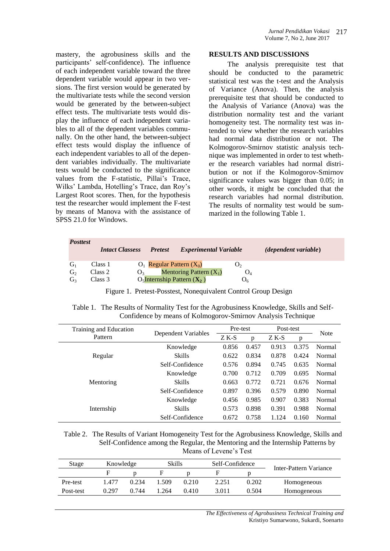mastery, the agrobusiness skills and the participants' self-confidence). The influence of each independent variable toward the three dependent variable would appear in two versions. The first version would be generated by the multivariate tests while the second version would be generated by the between-subject effect tests. The multivariate tests would display the influence of each independent variables to all of the dependent variables communally. On the other hand, the between-subject effect tests would display the influence of each independent variables to all of the dependent variables individually. The multivariate tests would be conducted to the significance values from the F-statistic, Pillai's Trace, Wilks' Lambda, Hotelling's Trace, dan Roy's Largest Root scores. Then, for the hypothesis test the researcher would implement the F-test by means of Manova with the assistance of SPSS 21.0 for Windows.

### **RESULTS AND DISCUSSIONS**

The analysis prerequisite test that should be conducted to the parametric statistical test was the t-test and the Analysis of Variance (Anova). Then, the analysis prerequisite test that should be conducted to the Analysis of Variance (Anova) was the distribution normality test and the variant homogeneity test. The normality test was intended to view whether the research variables had normal data distribution or not. The Kolmogorov-Smirnov statistic analysis technique was implemented in order to test whether the research variables had normal distribution or not if the Kolmogorov-Smirnov significance values was bigger than 0.05; in other words, it might be concluded that the research variables had normal distribution. The results of normality test would be summarized in the following Table 1.

| <b>Posttest</b> | <b>Intact Classess</b> | <b>Pretest</b>                   | <b>Experimental Variable</b> |                | <i>(dependent variable)</i> |
|-----------------|------------------------|----------------------------------|------------------------------|----------------|-----------------------------|
| $G_1$           | Class 1                | $O_1$ Regular Pattern $(X_0)$    |                              | $\mathbf{U}_2$ |                             |
| G <sub>2</sub>  | Class 2                | $\mathbf{O}_2$                   | Mentoring Pattern $(X_1)$    |                |                             |
| G <sub>3</sub>  | Class 3                | $O_5$ Internship Pattern $(X_2)$ |                              | U6             |                             |

Figure 1. Pretest-Posstest, Nonequivalent Control Group Design

| Table 1. The Results of Normality Test for the Agrobusiness Knowledge, Skills and Self- |
|-----------------------------------------------------------------------------------------|
| Confidence by means of Kolmogorov-Smirnov Analysis Technique                            |

| Training and Education |                     |        | Pre-test |       | Post-test |               |
|------------------------|---------------------|--------|----------|-------|-----------|---------------|
| Pattern                | Dependent Variables | $ZK-S$ | p        | Z K-S | p         | <b>Note</b>   |
|                        | Knowledge           | 0.856  | 0.457    | 0.913 | 0.375     | Normal        |
| Regular                | <b>Skills</b>       | 0.622  | 0.834    | 0.878 | 0.424     | Normal        |
|                        | Self-Confidence     | 0.576  | 0.894    | 0.745 | 0.635     | Normal        |
|                        | Knowledge           | 0.700  | 0.712    | 0.709 | 0.695     | Normal        |
| Mentoring              | <b>Skills</b>       | 0.663  | 0.772    | 0.721 | 0.676     | Normal        |
|                        | Self-Confidence     | 0.897  | 0.396    | 0.579 | 0.890     | <b>Normal</b> |
|                        | Knowledge           | 0.456  | 0.985    | 0.907 | 0.383     | Normal        |
| Internship             | <b>Skills</b>       | 0.573  | 0.898    | 0.391 | 0.988     | Normal        |
|                        | Self-Confidence     | 0.672  | 0.758    | 1.124 | 0.160     | Normal        |

Table 2. The Results of Variant Homogeneity Test for the Agrobusiness Knowledge, Skills and Self-Confidence among the Regular, the Mentoring and the Internship Patterns by Means of Levene's Test

| Stage     | Knowledge |       | Skills |       | Self-Confidence |       |                        |  |
|-----------|-----------|-------|--------|-------|-----------------|-------|------------------------|--|
|           |           |       |        |       |                 |       | Inter-Pattern Variance |  |
| Pre-test  | 1.477     | 0.234 | .509   | 0.210 | 2.251           | 0.202 | Homogeneous            |  |
| Post-test | 0.297     | 0.744 | .264   | 0.410 | 3.011           | 0.504 | Homogeneous            |  |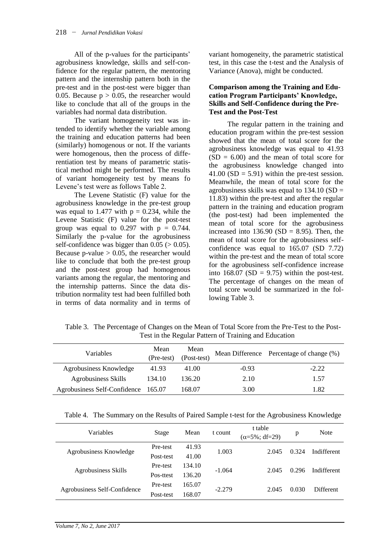All of the p-values for the participants' agrobusiness knowledge, skills and self-confidence for the regular pattern, the mentoring pattern and the internship pattern both in the pre-test and in the post-test were bigger than 0.05. Because  $p > 0.05$ , the researcher would like to conclude that all of the groups in the variables had normal data distribution.

The variant homogeneity test was intended to identify whether the variable among the training and education patterns had been (similarly) homogenous or not. If the variants were homogenous, then the process of differentiation test by means of parametric statistical method might be performed. The results of variant homogeneity test by means fo Levene's test were as follows Table 2.

The Levene Statistic (F) value for the agrobusiness knowledge in the pre-test group was equal to 1.477 with  $p = 0.234$ , while the Levene Statistic (F) value for the post-test group was equal to  $0.297$  with  $p = 0.744$ . Similarly the p-value for the agrobusiness self-confidence was bigger than  $0.05$  ( $> 0.05$ ). Because p-value  $> 0.05$ , the researcher would like to conclude that both the pre-test group and the post-test group had homogenous variants among the regular, the mentoring and the internship patterns. Since the data distribution normality test had been fulfilled both in terms of data normality and in terms of

variant homogeneity, the parametric statistical test, in this case the t-test and the Analysis of Variance (Anova), might be conducted.

### **Comparison among the Training and Education Program Participants' Knowledge, Skills and Self-Confidence during the Pre-Test and the Post-Test**

The regular pattern in the training and education program within the pre-test session showed that the mean of total score for the agrobusiness knowledge was equal to 41.93  $(SD = 6.00)$  and the mean of total score for the agrobusiness knowledge changed into  $41.00$  (SD = 5.91) within the pre-test session. Meanwhile, the mean of total score for the agrobusiness skills was equal to  $134.10$  (SD = 11.83) within the pre-test and after the regular pattern in the training and education program (the post-test) had been implemented the mean of total score for the agrobusiness increased into  $136.90$  (SD = 8.95). Then, the mean of total score for the agrobusiness selfconfidence was equal to 165.07 (SD 7.72) within the pre-test and the mean of total score for the agrobusiness self-confidence increase into  $168.07$  (SD = 9.75) within the post-test. The percentage of changes on the mean of total score would be summarized in the following Table 3.

Table 3. The Percentage of Changes on the Mean of Total Score from the Pre-Test to the Post-Test in the Regular Pattern of Training and Education

| <b>Variables</b>             | Mean<br>(Pre-test) | Mean<br>(Post-test) |         | Mean Difference Percentage of change (%) |
|------------------------------|--------------------|---------------------|---------|------------------------------------------|
| Agrobusiness Knowledge       | 41.93              | 41.00               | $-0.93$ | $-2.22$                                  |
| <b>Agrobusiness Skills</b>   | 134.10             | 136.20              | 2.10    | 1.57                                     |
| Agrobusiness Self-Confidence | 165.07             | 168.07              | 3.00    | 1.82                                     |

| Table 4. The Summary on the Results of Paired Sample t-test for the Agrobusiness Knowledge |  |  |
|--------------------------------------------------------------------------------------------|--|--|
|                                                                                            |  |  |

| Variables                    | Stage     | Mean   | t count  | t table<br>$(\alpha = 5\%; df = 29)$ | p     | <b>Note</b> |
|------------------------------|-----------|--------|----------|--------------------------------------|-------|-------------|
| Agrobusiness Knowledge       | Pre-test  | 41.93  | 1.003    | 2.045                                | 0.324 | Indifferent |
|                              | Post-test | 41.00  |          |                                      |       |             |
| Agrobusiness Skills          | Pre-test  | 134.10 | $-1.064$ | 2.045                                | 0.296 | Indifferent |
|                              | Pos-ttest | 136.20 |          |                                      |       |             |
| Agrobusiness Self-Confidence | Pre-test  | 165.07 | $-2.279$ | 2.045                                | 0.030 | Different   |
|                              | Post-test | 68.07  |          |                                      |       |             |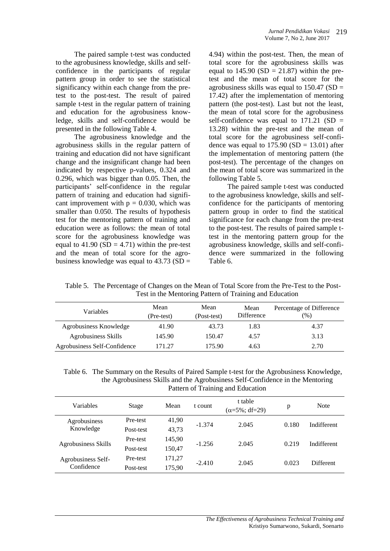The paired sample t-test was conducted to the agrobusiness knowledge, skills and selfconfidence in the participants of regular pattern group in order to see the statistical significancy within each change from the pretest to the post-test. The result of paired sample t-test in the regular pattern of training and education for the agrobusiness knowledge, skills and self-confidence would be presented in the following Table 4.

The agrobusiness knowledge and the agrobusiness skills in the regular pattern of training and education did not have significant change and the insignificant change had been indicated by respective p-values, 0.324 and 0.296, which was bigger than 0.05. Then, the participants' self-confidence in the regular pattern of training and education had significant improvement with  $p = 0.030$ , which was smaller than 0.050. The results of hypothesis test for the mentoring pattern of training and education were as follows: the mean of total score for the agrobusiness knowledge was equal to  $41.90$  (SD = 4.71) within the pre-test and the mean of total score for the agrobusiness knowledge was equal to  $43.73$  (SD =

4.94) within the post-test. Then, the mean of total score for the agrobusiness skills was equal to  $145.90$  (SD = 21.87) within the pretest and the mean of total score for the agrobusiness skills was equal to  $150.47$  (SD = 17.42) after the implementation of mentoring pattern (the post-test). Last but not the least, the mean of total score for the agrobusiness self-confidence was equal to  $171.21$  (SD = 13.28) within the pre-test and the mean of total score for the agrobusiness self-confidence was equal to  $175.90$  (SD = 13.01) after the implementation of mentoring pattern (the post-test). The percentage of the changes on the mean of total score was summarized in the following Table 5.

The paired sample t-test was conducted to the agrobusiness knowledge, skills and selfconfidence for the participants of mentoring pattern group in order to find the statitical significance for each change from the pre-test to the post-test. The results of paired sample ttest in the mentoring pattern group for the agrobusiness knowledge, skills and self-confidence were summarized in the following Table 6.

| Variables                    | Mean<br>(Pre-test) | Mean<br>(Post-test) | Mean<br>Difference | Percentage of Difference<br>(%) |
|------------------------------|--------------------|---------------------|--------------------|---------------------------------|
| Agrobusiness Knowledge       | 41.90              | 43.73               | 1.83               | 4.37                            |
| Agrobusiness Skills          | 145.90             | 150.47              | 4.57               | 3.13                            |
| Agrobusiness Self-Confidence | 171.27             | 175.90              | 4.63               | 2.70                            |

Table 5. The Percentage of Changes on the Mean of Total Score from the Pre-Test to the Post-Test in the Mentoring Pattern of Training and Education

Table 6. The Summary on the Results of Paired Sample t-test for the Agrobusiness Knowledge, the Agrobusiness Skills and the Agrobusiness Self-Confidence in the Mentoring Pattern of Training and Education

| Variables                  | Stage     | Mean   | t count  | t table<br>$(\alpha = 5\%; df = 29)$ | p     | <b>Note</b> |  |
|----------------------------|-----------|--------|----------|--------------------------------------|-------|-------------|--|
| Agrobusiness               | Pre-test  | 41,90  | $-1.374$ | 2.045                                | 0.180 | Indifferent |  |
| Knowledge                  | Post-test | 43,73  |          |                                      |       |             |  |
| <b>Agrobusiness Skills</b> | Pre-test  | 145.90 | $-1.256$ | 2.045                                | 0.219 | Indifferent |  |
|                            | Post-test | 150.47 |          |                                      |       |             |  |
| Agrobusiness Self-         | Pre-test  | 171,27 |          |                                      |       |             |  |
| Confidence                 | Post-test | 175,90 | $-2.410$ | 2.045                                | 0.023 | Different   |  |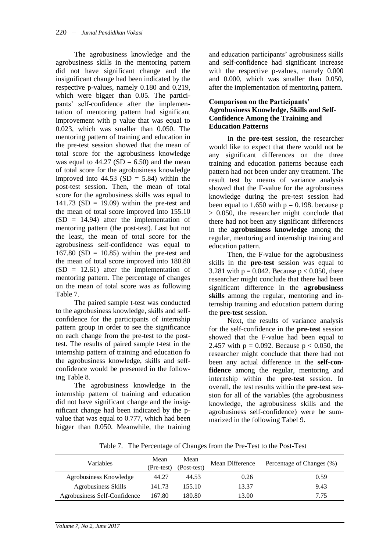The agrobusiness knowledge and the agrobusiness skills in the mentoring pattern did not have significant change and the insignificant change had been indicated by the respective p-values, namely 0.180 and 0.219, which were bigger than 0.05. The participants' self-confidence after the implementation of mentoring pattern had significant improvement with p value that was equal to 0.023, which was smaller than 0.050. The mentoring pattern of training and education in the pre-test session showed that the mean of total score for the agrobusiness knowledge was equal to  $44.27$  (SD = 6.50) and the mean of total score for the agrobusiness knowledge improved into  $44.53$  (SD = 5.84) within the post-test session. Then, the mean of total score for the agrobusiness skills was equal to 141.73 ( $SD = 19.09$ ) within the pre-test and the mean of total score improved into 155.10  $(SD = 14.94)$  after the implementation of mentoring pattern (the post-test). Last but not the least, the mean of total score for the agrobusiness self-confidence was equal to  $167.80$  (SD = 10.85) within the pre-test and the mean of total score improved into 180.80  $(SD = 12.61)$  after the implementation of mentoring pattern. The percentage of changes on the mean of total score was as following Table 7.

The paired sample t-test was conducted to the agrobusiness knowledge, skills and selfconfidence for the participants of internship pattern group in order to see the significance on each change from the pre-test to the posttest. The results of paired sample t-test in the internship pattern of training and education fo the agrobusiness knowledge, skills and selfconfidence would be presented in the following Table 8.

The agrobusiness knowledge in the internship pattern of training and education did not have significant change and the insignificant change had been indicated by the pvalue that was equal to 0.777, which had been bigger than 0.050. Meanwhile, the training and education participants' agrobusiness skills and self-confidence had significant increase with the respective p-values, namely 0.000 and 0.000, which was smaller than 0.050, after the implementation of mentoring pattern.

## **Comparison on the Participants' Agrobusiness Knowledge, Skills and Self-Confidence Among the Training and Education Patterns**

In the **pre-test** session, the researcher would like to expect that there would not be any significant differences on the three training and education patterns because each pattern had not been under any treatment. The result test by means of variance analysis showed that the F-value for the agrobusiness knowledge during the pre-test session had been equal to 1.650 with  $p = 0.198$ , because p > 0.050, the researcher might conclude that there had not been any significant differences in the **agrobusiness knowledge** among the regular, mentoring and internship training and education pattern.

Then, the F-value for the agrobusiness skills in the **pre-test** session was equal to 3.281 with  $p = 0.042$ . Because  $p < 0.050$ , there researcher might conclude that there had been significant difference in the **agrobusiness skills** among the regular, mentoring and internship training and education pattern during the **pre-test** session.

Next, the results of variance analysis for the self-confidence in the **pre-test** session showed that the F-value had been equal to 2.457 with  $p = 0.092$ . Because  $p < 0.050$ , the researcher might conclude that there had not been any actual difference in the **self-confidence** among the regular, mentoring and internship within the **pre-test** session. In overall, the test results within the **pre-test** session for all of the variables (the agrobusiness knowledge, the agrobusiness skills and the agrobusiness self-confidence) were be summarized in the following Tabel 9.

Table 7. The Percentage of Changes from the Pre-Test to the Post-Test

| Variables                    | Mean<br>(Pre-test) | Mean<br>(Post-test) | Mean Difference | Percentage of Changes (%) |
|------------------------------|--------------------|---------------------|-----------------|---------------------------|
| Agrobusiness Knowledge       | 44.27              | 44.53               | 0.26            | 0.59                      |
| Agrobusiness Skills          | 141.73             | 155.10              | 13.37           | 9.43                      |
| Agrobusiness Self-Confidence | 167.80             | 180.80              | 13.00           | 7.75                      |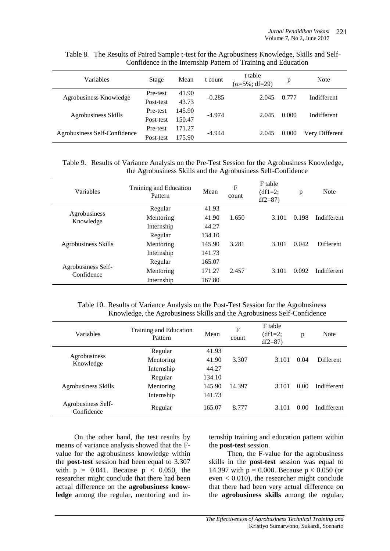| Variables                    | Stage     | Mean   | t count  | t table<br>$(\alpha = 5\%; df = 29)$ | p     | <b>Note</b>    |  |
|------------------------------|-----------|--------|----------|--------------------------------------|-------|----------------|--|
|                              | Pre-test  | 41.90  | $-0.285$ | 2.045                                | 0.777 | Indifferent    |  |
| Agrobusiness Knowledge       | Post-test | 43.73  |          |                                      |       |                |  |
|                              | Pre-test  | 145.90 | $-4.974$ |                                      | 0.000 |                |  |
| <b>Agrobusiness Skills</b>   | Post-test | 150.47 |          | 2.045                                |       | Indifferent    |  |
|                              | Pre-test  | 171.27 | $-4.944$ |                                      |       |                |  |
| Agrobusiness Self-Confidence | Post-test | 175.90 |          | 2.045                                | 0.000 | Very Different |  |

Table 8. The Results of Paired Sample t-test for the Agrobusiness Knowledge, Skills and Self-Confidence in the Internship Pattern of Training and Education

Table 9. Results of Variance Analysis on the Pre-Test Session for the Agrobusiness Knowledge, the Agrobusiness Skills and the Agrobusiness Self-Confidence

| Variables                        | Training and Education<br>Pattern | Mean   | F<br>count | F table<br>$(df1=2:$<br>$df2 = 87$ | p     | <b>Note</b> |
|----------------------------------|-----------------------------------|--------|------------|------------------------------------|-------|-------------|
|                                  | Regular                           | 41.93  |            |                                    |       |             |
| Agrobusiness<br>Knowledge        | Mentoring                         | 41.90  | 1.650      | 3.101                              | 0.198 | Indifferent |
|                                  | Internship                        | 44.27  |            |                                    |       |             |
|                                  | Regular                           | 134.10 |            |                                    |       |             |
| Agrobusiness Skills              | Mentoring                         | 145.90 | 3.281      | 3.101                              | 0.042 | Different   |
|                                  | Internship                        | 141.73 |            |                                    |       |             |
|                                  | Regular                           | 165.07 |            |                                    |       |             |
| Agrobusiness Self-<br>Confidence | Mentoring                         | 171.27 | 2.457      | 3.101                              | 0.092 | Indifferent |
|                                  | Internship                        | 167.80 |            |                                    |       |             |

Table 10. Results of Variance Analysis on the Post-Test Session for the Agrobusiness Knowledge, the Agrobusiness Skills and the Agrobusiness Self-Confidence

| Variables                        | Training and Education<br>Pattern | Mean   | F<br>count | F table<br>$(df1=2;$<br>$df2=87$ | p    | <b>Note</b> |
|----------------------------------|-----------------------------------|--------|------------|----------------------------------|------|-------------|
| Agrobusiness<br>Knowledge        | Regular                           | 41.93  |            |                                  |      |             |
|                                  | Mentoring                         | 41.90  | 3.307      | 3.101                            | 0.04 | Different   |
|                                  | Internship                        | 44.27  |            |                                  |      |             |
| Agrobusiness Skills              | Regular                           | 134.10 |            |                                  |      |             |
|                                  | Mentoring                         | 145.90 | 14.397     | 3.101                            | 0.00 | Indifferent |
|                                  | Internship                        | 141.73 |            |                                  |      |             |
| Agrobusiness Self-<br>Confidence | Regular                           | 165.07 | 8.777      | 3.101                            | 0.00 | Indifferent |

On the other hand, the test results by means of variance analysis showed that the Fvalue for the agrobusiness knowledge within the **post-test** session had been equal to 3.307 with  $p = 0.041$ . Because  $p < 0.050$ , the researcher might conclude that there had been actual difference on the **agrobusiness knowledge** among the regular, mentoring and internship training and education pattern within the **post-test** session.

Then, the F-value for the agrobusiness skills in the **post-test** session was equal to 14.397 with  $p = 0.000$ . Because  $p < 0.050$  (or even < 0.010), the researcher might conclude that there had been very actual difference on the **agrobusiness skills** among the regular,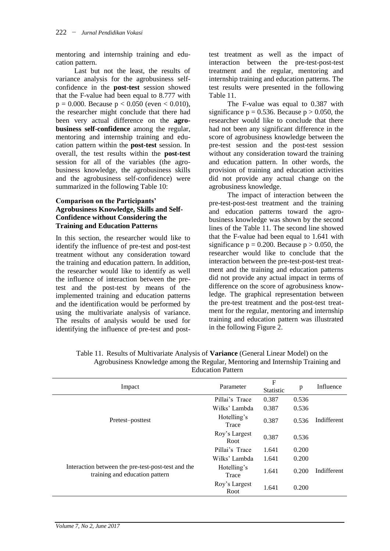mentoring and internship training and education pattern.

Last but not the least, the results of variance analysis for the agrobusiness selfconfidence in the **post-test** session showed that the F-value had been equal to 8.777 with  $p = 0.000$ . Because  $p < 0.050$  (even  $< 0.010$ ), the researcher might conclude that there had been very actual difference on the **agrobusiness self-confidence** among the regular, mentoring and internship training and education pattern within the **post-test** session. In overall, the test results within the **post-test** session for all of the variables (the agrobusiness knowledge, the agrobusiness skills and the agrobusiness self-confidence) were summarized in the following Table 10:

### **Comparison on the Participants' Agrobusiness Knowledge, Skills and Self-Confidence without Considering the Training and Education Patterns**

In this section, the researcher would like to identify the influence of pre-test and post-test treatment without any consideration toward the training and education pattern. In addition, the researcher would like to identify as well the influence of interaction between the pretest and the post-test by means of the implemented training and education patterns and the identification would be performed by using the multivariate analysis of variance. The results of analysis would be used for identifying the influence of pre-test and post-

test treatment as well as the impact of interaction between the pre-test-post-test treatment and the regular, mentoring and internship training and education patterns. The test results were presented in the following Table 11.

The F-value was equal to 0.387 with significance  $p = 0.536$ . Because  $p > 0.050$ , the researcher would like to conclude that there had not been any significant difference in the score of agrobusiness knowledge between the pre-test session and the post-test session without any consideration toward the training and education pattern. In other words, the provision of training and education activities did not provide any actual change on the agrobusiness knowledge.

The impact of interaction between the pre-test-post-test treatment and the training and education patterns toward the agrobusiness knowledge was shown by the second lines of the Table 11. The second line showed that the F-value had been equal to 1.641 with significance  $p = 0.200$ . Because  $p > 0.050$ , the researcher would like to conclude that the interaction between the pre-test-post-test treatment and the training and education patterns did not provide any actual impact in terms of difference on the score of agrobusiness knowledge. The graphical representation between the pre-test treatment and the post-test treatment for the regular, mentoring and internship training and education pattern was illustrated in the following Figure 2.

| Impact                                                                               | Parameter             | $\mathbf F$<br><b>Statistic</b> | p     | Influence   |  |
|--------------------------------------------------------------------------------------|-----------------------|---------------------------------|-------|-------------|--|
|                                                                                      | Pillai's Trace        | 0.387                           | 0.536 | Indifferent |  |
|                                                                                      | Wilks' Lambda         | 0.387                           | 0.536 |             |  |
| Pretest-posttest                                                                     | Hotelling's<br>Trace  | 0.387                           | 0.536 |             |  |
|                                                                                      | Roy's Largest<br>Root | 0.387                           | 0.536 |             |  |
|                                                                                      | Pillai's Trace        | 1.641                           | 0.200 |             |  |
|                                                                                      | Wilks' Lambda         | 1.641                           | 0.200 |             |  |
| Interaction between the pre-test-post-test and the<br>training and education pattern | Hotelling's<br>Trace  | 1.641                           | 0.200 | Indifferent |  |
|                                                                                      | Roy's Largest<br>Root | 1.641                           | 0.200 |             |  |

Table 11. Results of Multivariate Analysis of **Variance** (General Linear Model) on the Agrobusiness Knowledge among the Regular, Mentoring and Internship Training and Education Pattern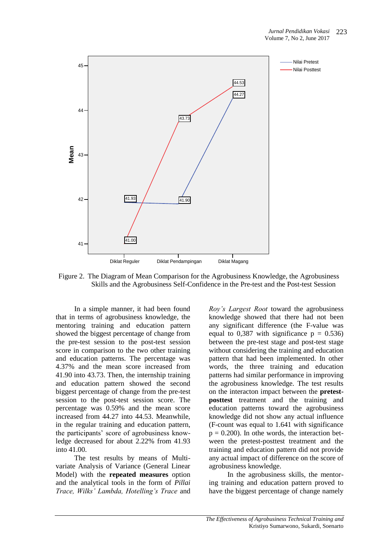

Figure 2. The Diagram of Mean Comparison for the Agrobusiness Knowledge, the Agrobusiness Skills and the Agrobusiness Self-Confidence in the Pre-test and the Post-test Session

In a simple manner, it had been found that in terms of agrobusiness knowledge, the mentoring training and education pattern showed the biggest percentage of change from the pre-test session to the post-test session score in comparison to the two other training and education patterns. The percentage was 4.37% and the mean score increased from 41.90 into 43.73. Then, the internship training and education pattern showed the second biggest percentage of change from the pre-test session to the post-test session score. The percentage was 0.59% and the mean score increased from 44.27 into 44.53. Meanwhile, in the regular training and education pattern, the participants' score of agrobusiness knowledge decreased for about 2.22% from 41.93 into 41.00.

The test results by means of Multivariate Analysis of Variance (General Linear Model) with the **repeated measures** option and the analytical tools in the form of *Pillai Trace, Wilks' Lambda, Hotelling's Trace* and

*Roy's Largest Root* toward the agrobusiness knowledge showed that there had not been any significant difference (the F-value was equal to 0,387 with significance  $p = 0.536$ between the pre-test stage and post-test stage without considering the training and education pattern that had been implemented. In other words, the three training and education patterns had similar performance in improving the agrobusiness knowledge. The test results on the interacton impact between the **pretestposttest** treatment and the training and education patterns toward the agrobusiness knowledge did not show any actual influence (F-count was equal to 1.641 with significance  $p = 0.200$ . In othe words, the interaction between the pretest-posttest treatment and the training and education pattern did not provide any actual impact of difference on the score of agrobusiness knowledge.

In the agrobusiness skills, the mentoring training and education pattern proved to have the biggest percentage of change namely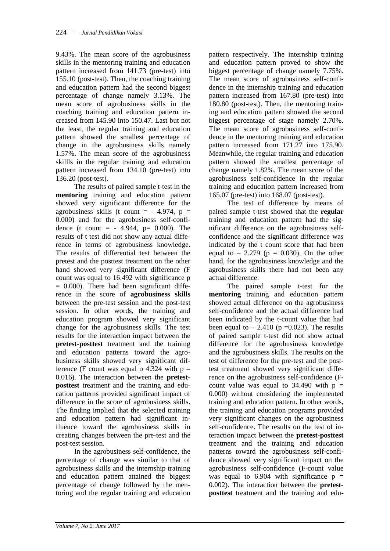9.43%. The mean score of the agrobusiness skills in the mentoring training and education pattern increased from 141.73 (pre-test) into 155.10 (post-test). Then, the coaching training and education pattern had the second biggest percentage of change namely 3.13%. The mean score of agrobusiness skills in the coaching training and education pattern increased from 145.90 into 150.47. Last but not the least, the regular training and education pattern showed the smallest percentage of change in the agrobusiness skills namely 1.57%. The mean score of the agrobusiness skillls in the regular training and education pattern increased from 134.10 (pre-test) into 136.20 (post-test).

The results of paired sample t-test in the **mentoring** training and education pattern showed very significant difference for the agrobusiness skills (t count  $=$  - 4.974, p  $=$ 0.000) and for the agrobusiness self-confidence (t count =  $-4.944$ , p= 0.000). The results of t test did not show any actual difference in terms of agrobusiness knowledge. The results of differential test between the pretest and the posttest treatment on the other hand showed very significant difference (F count was equal to 16.492 with significance p  $= 0.000$ . There had been significant difference in the score of **agrobusiness skills** between the pre-test session and the post-test session. In other words, the training and education program showed very significant change for the agrobusiness skills. The test results for the interaction impact between the **pretest-posttest** treatment and the training and education patterns toward the agrobusiness skills showed very significant difference (F count was equal o 4.324 with  $p =$ 0.016). The interaction between the **pretestposttest** treatment and the training and education patterns provided significant impact of difference in the score of agrobusiness skills. The finding implied that the selected training and education pattern had significant influence toward the agrobusiness skills in creating changes between the pre-test and the post-test session.

In the agrobusiness self-confidence, the percentage of change was similar to that of agrobusiness skills and the internship training and education pattern attained the biggest percentage of change followed by the mentoring and the regular training and education

pattern respectively. The internship training and education pattern proved to show the biggest percentage of change namely 7.75%. The mean score of agrobusiness self-confidence in the internship training and education pattern increased from 167.80 (pre-test) into 180.80 (post-test). Then, the mentoring training and education pattern showed the second biggest percentage of stage namely 2.70%. The mean score of agrobusiness self-confidence in the mentoring training and education pattern increased from 171.27 into 175.90. Meanwhile, the regular training and education pattern showed the smallest percentage of change namely 1.82%. The mean score of the agrobusiness self-confidence in the regular training and education pattern increased from 165.07 (pre-test) into 168.07 (post-test).

The test of difference by means of paired sample t-test showed that the **regular** training and education pattern had the significant difference on the agrobusiness selfconfidence and the significant difference was indicated by the t count score that had been equal to  $-2.279$  ( $p = 0.030$ ). On the other hand, for the agrobusiness knowledge and the agrobusiness skills there had not been any actual difference.

The paired sample t-test for the **mentoring** training and education pattern showed actual difference on the agrobusiness self-confidence and the actual difference had been indicated by the t-count value that had been equal to  $- 2.410$  (p =0.023). The results of paired sample t-test did not show actual difference for the agrobusiness knowledge and the agrobusiness skills. The results on the test of difference for the pre-test and the posttest treatment showed very significant difference on the agrobusiness self-confidence (Fcount value was equal to  $34.490$  with  $p =$ 0.000) without considering the implemented training and education pattern. In other words, the training and education programs provided very significant changes on the agrobusiness self-confidence. The results on the test of interaction impact between the **pretest-posttest** treatment and the training and education patterns toward the agrobusiness self-confidence showed very significant impact on the agrobusiness self-confidence (F-count value was equal to  $6.904$  with significance  $p =$ 0.002). The interaction between the **pretestposttest** treatment and the training and edu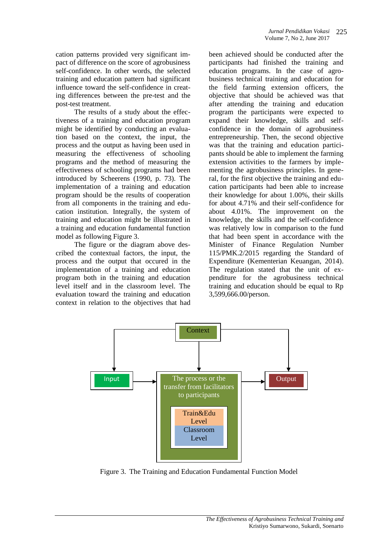cation patterns provided very significant impact of difference on the score of agrobusiness self-confidence. In other words, the selected training and education pattern had significant influence toward the self-confidence in creating differences between the pre-test and the post-test treatment.

The results of a study about the effectiveness of a training and education program might be identified by conducting an evaluation based on the context, the input, the process and the output as having been used in measuring the effectiveness of schooling programs and the method of measuring the effectiveness of schooling programs had been introduced by Scheerens (1990, p. 73). The implementation of a training and education program should be the results of cooperation from all components in the training and education institution. Integrally, the system of training and education might be illustrated in a training and education fundamental function model as following Figure 3.

The figure or the diagram above described the contextual factors, the input, the process and the output that occured in the implementation of a training and education program both in the training and education level itself and in the classroom level. The evaluation toward the training and education context in relation to the objectives that had

been achieved should be conducted after the participants had finished the training and education programs. In the case of agrobusiness technical training and education for the field farming extension officers, the objective that should be achieved was that after attending the training and education program the participants were expected to expand their knowledge, skills and selfconfidence in the domain of agrobusiness entrepreneurship. Then, the second objective was that the training and education participants should be able to implement the farming extension activities to the farmers by implementing the agrobusiness principles. In general, for the first objective the training and education participants had been able to increase their knowledge for about 1.00%, their skills for about 4.71% and their self-confidence for about 4.01%. The improvement on the knowledge, the skills and the self-confidence was relatively low in comparison to the fund that had been spent in accordance with the Minister of Finance Regulation Number 115/PMK.2/2015 regarding the Standard of Expenditure (Kementerian Keuangan, 2014). The regulation stated that the unit of expenditure for the agrobusiness technical training and education should be equal to Rp 3,599,666.00/person.



Figure 3. The Training and Education Fundamental Function Model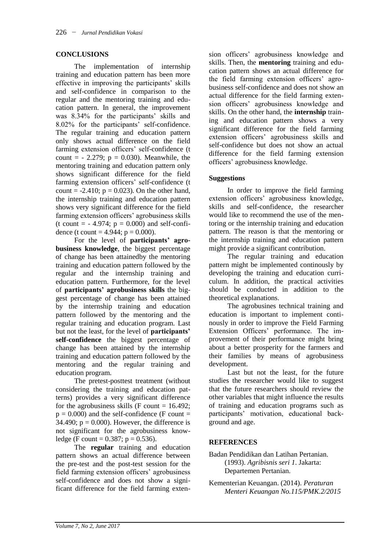### **CONCLUSIONS**

The implementation of internship training and education pattern has been more effective in improving the participants' skills and self-confidence in comparison to the regular and the mentoring training and education pattern. In general, the improvement was 8.34% for the participants' skills and 8.02% for the participants' self-confidence. The regular training and education pattern only shows actual difference on the field farming extension officers' self-confidence (t count =  $-2.279$ ; p = 0.030). Meanwhile, the mentoring training and education pattern only shows significant difference for the field farming extension officers' self-confidence (t count =  $-2.410$ ;  $p = 0.023$ ). On the other hand, the internship training and education pattern shows very significant difference for the field farming extension officers' agrobusiness skills (t count =  $-4.974$ ; p = 0.000) and self-confidence (t count =  $4.944$ ; p = 0.000).

For the level of **participants' agrobusiness knowledge**, the biggest percentage of change has been attainedby the mentoring training and education pattern followed by the regular and the internship training and education pattern. Furthermore, for the level of **participants' agrobusiness skills** the biggest percentage of change has been attained by the internship training and education pattern followed by the mentoring and the regular training and education program. Last but not the least, for the level of **participants' self-confidence** the biggest percentage of change has been attained by the internship training and education pattern followed by the mentoring and the regular training and education program.

The pretest-posttest treatment (without considering the training and education patterns) provides a very significant difference for the agrobusiness skills (F count  $= 16.492$ ;  $p = 0.000$ ) and the self-confidence (F count = 34.490;  $p = 0.000$ ). However, the difference is not significant for the agrobusiness knowledge (F count =  $0.387$ ; p =  $0.536$ ).

The **regular** training and education pattern shows an actual difference between the pre-test and the post-test session for the field farming extension officers' agrobusiness self-confidence and does not show a significant difference for the field farming extension officers' agrobusiness knowledge and skills. Then, the **mentoring** training and education pattern shows an actual difference for the field farming extension officers' agrobusiness self-confidence and does not show an actual difference for the field farming extension officers' agrobusiness knowledge and skills. On the other hand, the **internship** training and education pattern shows a very significant difference for the field farming extension officers' agrobusiness skills and self-confidence but does not show an actual difference for the field farming extension officers' agrobusiness knowledge.

### **Suggestions**

In order to improve the field farming extension officers' agrobusiness knowledge, skills and self-confidence, the researcher would like to recommend the use of the mentoring or the internship training and education pattern. The reason is that the mentoring or the internship training and education pattern might provide a significant contribution.

The regular training and education pattern might be implemented continously by developing the training and education curriculum. In addition, the practical activities should be conducted in addition to the theoretical explanations.

The agrobusines technical training and education is important to implement continously in order to improve the Field Farming Extension Officers' performance. The improvement of their performance might bring about a better prosperity for the farmers and their families by means of agrobusiness development.

Last but not the least, for the future studies the researcher would like to suggest that the future researchers should review the other variables that might influence the results of training and education programs such as participants' motivation, educational background and age.

### **REFERENCES**

Badan Pendidikan dan Latihan Pertanian. (1993). *Agribisnis seri 1*. Jakarta: Departemen Pertanian.

Kementerian Keuangan. (2014). *Peraturan Menteri Keuangan No.115/PMK.2/2015*